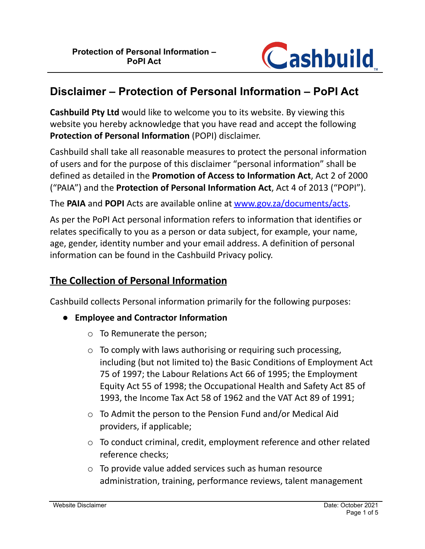

# **Disclaimer – Protection of Personal Information – PoPI Act**

**Cashbuild Pty Ltd** would like to welcome you to its website. By viewing this website you hereby acknowledge that you have read and accept the following **Protection of Personal Information** (POPI) disclaimer.

Cashbuild shall take all reasonable measures to protect the personal information of users and for the purpose of this disclaimer "personal information" shall be defined as detailed in the **Promotion of Access to Information Act**, Act 2 of 2000 ("PAIA") and the **Protection of Personal Information Act**, Act 4 of 2013 ("POPI").

The **PAIA** and **POPI** Acts are available online at [www.gov.za/documents/acts.](http://www.gov.za/documents/acts)

As per the PoPI Act personal information refers to information that identifies or relates specifically to you as a person or data subject, for example, your name, age, gender, identity number and your email address. A definition of personal information can be found in the Cashbuild Privacy policy.

### **The Collection of Personal Information**

Cashbuild collects Personal information primarily for the following purposes:

- **● Employee and Contractor Information**
	- o To Remunerate the person;
	- o To comply with laws authorising or requiring such processing, including (but not limited to) the Basic Conditions of Employment Act 75 of 1997; the Labour Relations Act 66 of 1995; the Employment Equity Act 55 of 1998; the Occupational Health and Safety Act 85 of 1993, the Income Tax Act 58 of 1962 and the VAT Act 89 of 1991;
	- o To Admit the person to the Pension Fund and/or Medical Aid providers, if applicable;
	- o To conduct criminal, credit, employment reference and other related reference checks;
	- o To provide value added services such as human resource administration, training, performance reviews, talent management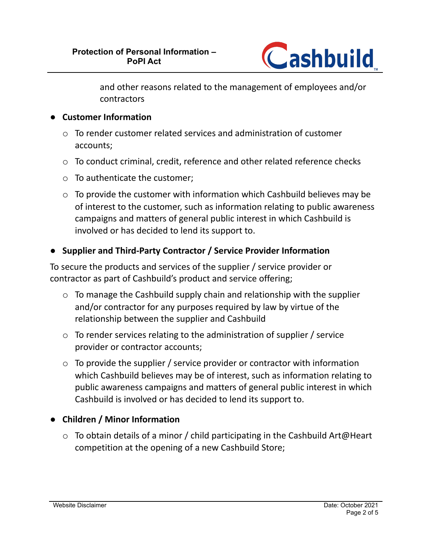

and other reasons related to the management of employees and/or contractors

#### **● Customer Information**

- $\circ$  To render customer related services and administration of customer accounts;
- o To conduct criminal, credit, reference and other related reference checks
- o To authenticate the customer;
- $\circ$  To provide the customer with information which Cashbuild believes may be of interest to the customer, such as information relating to public awareness campaigns and matters of general public interest in which Cashbuild is involved or has decided to lend its support to.

#### **● Supplier and Third-Party Contractor / Service Provider Information**

To secure the products and services of the supplier / service provider or contractor as part of Cashbuild's product and service offering;

- o To manage the Cashbuild supply chain and relationship with the supplier and/or contractor for any purposes required by law by virtue of the relationship between the supplier and Cashbuild
- o To render services relating to the administration of supplier / service provider or contractor accounts;
- o To provide the supplier / service provider or contractor with information which Cashbuild believes may be of interest, such as information relating to public awareness campaigns and matters of general public interest in which Cashbuild is involved or has decided to lend its support to.

#### ● **Children / Minor Information**

 $\circ$  To obtain details of a minor / child participating in the Cashbuild Art@Heart competition at the opening of a new Cashbuild Store;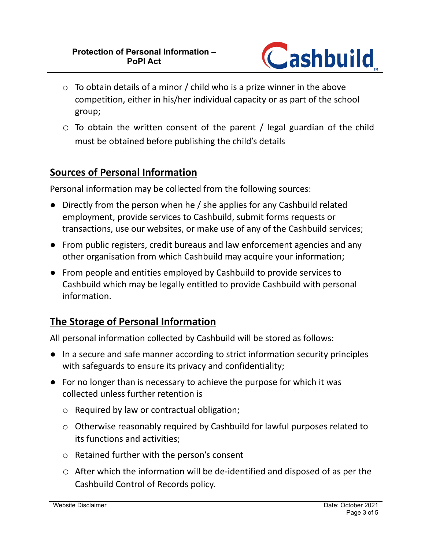

- $\circ$  To obtain details of a minor / child who is a prize winner in the above competition, either in his/her individual capacity or as part of the school group;
- o To obtain the written consent of the parent / legal guardian of the child must be obtained before publishing the child's details

### **Sources of Personal Information**

Personal information may be collected from the following sources:

- Directly from the person when he / she applies for any Cashbuild related employment, provide services to Cashbuild, submit forms requests or transactions, use our websites, or make use of any of the Cashbuild services;
- From public registers, credit bureaus and law enforcement agencies and any other organisation from which Cashbuild may acquire your information;
- From people and entities employed by Cashbuild to provide services to Cashbuild which may be legally entitled to provide Cashbuild with personal information.

# **The Storage of Personal Information**

All personal information collected by Cashbuild will be stored as follows:

- In a secure and safe manner according to strict information security principles with safeguards to ensure its privacy and confidentiality;
- For no longer than is necessary to achieve the purpose for which it was collected unless further retention is
	- o Required by law or contractual obligation;
	- o Otherwise reasonably required by Cashbuild for lawful purposes related to its functions and activities;
	- o Retained further with the person's consent
	- o After which the information will be de-identified and disposed of as per the Cashbuild Control of Records policy.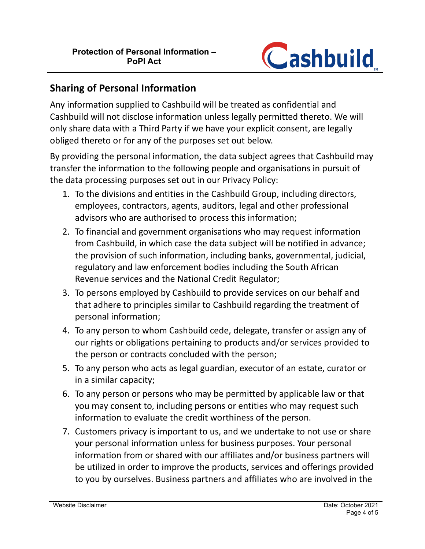

### **Sharing of Personal Information**

Any information supplied to Cashbuild will be treated as confidential and Cashbuild will not disclose information unless legally permitted thereto. We will only share data with a Third Party if we have your explicit consent, are legally obliged thereto or for any of the purposes set out below.

By providing the personal information, the data subject agrees that Cashbuild may transfer the information to the following people and organisations in pursuit of the data processing purposes set out in our Privacy Policy:

- 1. To the divisions and entities in the Cashbuild Group, including directors, employees, contractors, agents, auditors, legal and other professional advisors who are authorised to process this information;
- 2. To financial and government organisations who may request information from Cashbuild, in which case the data subject will be notified in advance; the provision of such information, including banks, governmental, judicial, regulatory and law enforcement bodies including the South African Revenue services and the National Credit Regulator;
- 3. To persons employed by Cashbuild to provide services on our behalf and that adhere to principles similar to Cashbuild regarding the treatment of personal information;
- 4. To any person to whom Cashbuild cede, delegate, transfer or assign any of our rights or obligations pertaining to products and/or services provided to the person or contracts concluded with the person;
- 5. To any person who acts as legal guardian, executor of an estate, curator or in a similar capacity;
- 6. To any person or persons who may be permitted by applicable law or that you may consent to, including persons or entities who may request such information to evaluate the credit worthiness of the person.
- 7. Customers privacy is important to us, and we undertake to not use or share your personal information unless for business purposes. Your personal information from or shared with our affiliates and/or business partners will be utilized in order to improve the products, services and offerings provided to you by ourselves. Business partners and affiliates who are involved in the